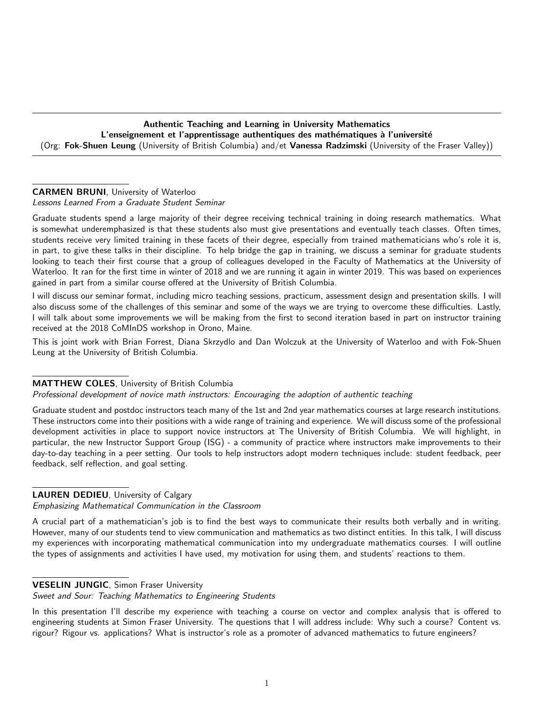Authentic Teaching and Learning in University Mathematics L'enseignement et l'apprentissage authentiques des mathématiques à l'université (Org: Fok-Shuen Leung (University of British Columbia) and/et Vanessa Radzimski (University of the Fraser Valley))

# CARMEN BRUNI, University of Waterloo

Lessons Learned From a Graduate Student Seminar

Graduate students spend a large majority of their degree receiving technical training in doing research mathematics. What is somewhat underemphasized is that these students also must give presentations and eventually teach classes. Often times, students receive very limited training in these facets of their degree, especially from trained mathematicians who's role it is, in part, to give these talks in their discipline. To help bridge the gap in training, we discuss a seminar for graduate students looking to teach their first course that a group of colleagues developed in the Faculty of Mathematics at the University of Waterloo. It ran for the first time in winter of 2018 and we are running it again in winter 2019. This was based on experiences gained in part from a similar course offered at the University of British Columbia.

I will discuss our seminar format, including micro teaching sessions, practicum, assessment design and presentation skills. I will also discuss some of the challenges of this seminar and some of the ways we are trying to overcome these difficulties. Lastly, I will talk about some improvements we will be making from the first to second iteration based in part on instructor training received at the 2018 CoMInDS workshop in Orono, Maine.

This is joint work with Brian Forrest, Diana Skrzydlo and Dan Wolczuk at the University of Waterloo and with Fok-Shuen Leung at the University of British Columbia.

#### MATTHEW COLES, University of British Columbia

Professional development of novice math instructors: Encouraging the adoption of authentic teaching

Graduate student and postdoc instructors teach many of the 1st and 2nd year mathematics courses at large research institutions. These instructors come into their positions with a wide range of training and experience. We will discuss some of the professional development activities in place to support novice instructors at The University of British Columbia. We will highlight, in particular, the new Instructor Support Group (ISG) - a community of practice where instructors make improvements to their day-to-day teaching in a peer setting. Our tools to help instructors adopt modern techniques include: student feedback, peer feedback, self reflection, and goal setting.

## LAUREN DEDIEU, University of Calgary

Emphasizing Mathematical Communication in the Classroom

A crucial part of a mathematician's job is to find the best ways to communicate their results both verbally and in writing. However, many of our students tend to view communication and mathematics as two distinct entities. In this talk, I will discuss my experiences with incorporating mathematical communication into my undergraduate mathematics courses. I will outline the types of assignments and activities I have used, my motivation for using them, and students' reactions to them.

## VESELIN JUNGIC, Simon Fraser University

Sweet and Sour: Teaching Mathematics to Engineering Students

In this presentation I'll describe my experience with teaching a course on vector and complex analysis that is offered to engineering students at Simon Fraser University. The questions that I will address include: Why such a course? Content vs. rigour? Rigour vs. applications? What is instructor's role as a promoter of advanced mathematics to future engineers?